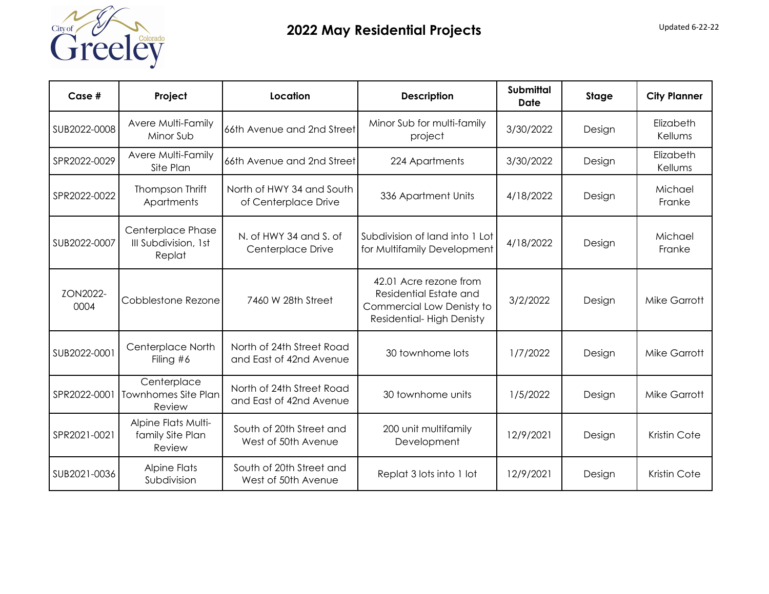

| $Case #$         | Project                                             | Location                                             | <b>Description</b>                                                                                        | <b>Submittal</b><br><b>Date</b> | Stage  | <b>City Planner</b>  |
|------------------|-----------------------------------------------------|------------------------------------------------------|-----------------------------------------------------------------------------------------------------------|---------------------------------|--------|----------------------|
| SUB2022-0008     | Avere Multi-Family<br>Minor Sub                     | 66th Avenue and 2nd Street                           | Minor Sub for multi-family<br>project                                                                     | 3/30/2022                       | Design | Elizabeth<br>Kellums |
| SPR2022-0029     | Avere Multi-Family<br>Site Plan                     | 66th Avenue and 2nd Street                           | 224 Apartments                                                                                            | 3/30/2022                       | Design | Elizabeth<br>Kellums |
| SPR2022-0022     | Thompson Thrift<br>Apartments                       | North of HWY 34 and South<br>of Centerplace Drive    | 336 Apartment Units                                                                                       | 4/18/2022                       | Design | Michael<br>Franke    |
| SUB2022-0007     | Centerplace Phase<br>III Subdivision, 1st<br>Replat | N. of HWY 34 and S. of<br>Centerplace Drive          | Subdivision of land into 1 Lot<br>for Multifamily Development                                             | 4/18/2022                       | Design | Michael<br>Franke    |
| ZON2022-<br>0004 | Cobblestone Rezone                                  | 7460 W 28th Street                                   | 42.01 Acre rezone from<br>Residential Estate and<br>Commercial Low Denisty to<br>Residential-High Denisty | 3/2/2022                        | Design | <b>Mike Garrott</b>  |
| SUB2022-0001     | Centerplace North<br>Filing $#6$                    | North of 24th Street Road<br>and East of 42nd Avenue | 30 townhome lots                                                                                          | 1/7/2022                        | Design | <b>Mike Garrott</b>  |
| SPR2022-0001     | Centerplace<br>Townhomes Site Plan<br>Review        | North of 24th Street Road<br>and East of 42nd Avenue | 30 townhome units                                                                                         | 1/5/2022                        | Design | <b>Mike Garrott</b>  |
| SPR2021-0021     | Alpine Flats Multi-<br>family Site Plan<br>Review   | South of 20th Street and<br>West of 50th Avenue      | 200 unit multifamily<br>Development                                                                       | 12/9/2021                       | Design | Kristin Cote         |
| SUB2021-0036     | <b>Alpine Flats</b><br>Subdivision                  | South of 20th Street and<br>West of 50th Avenue      | Replat 3 lots into 1 lot                                                                                  | 12/9/2021                       | Design | Kristin Cote         |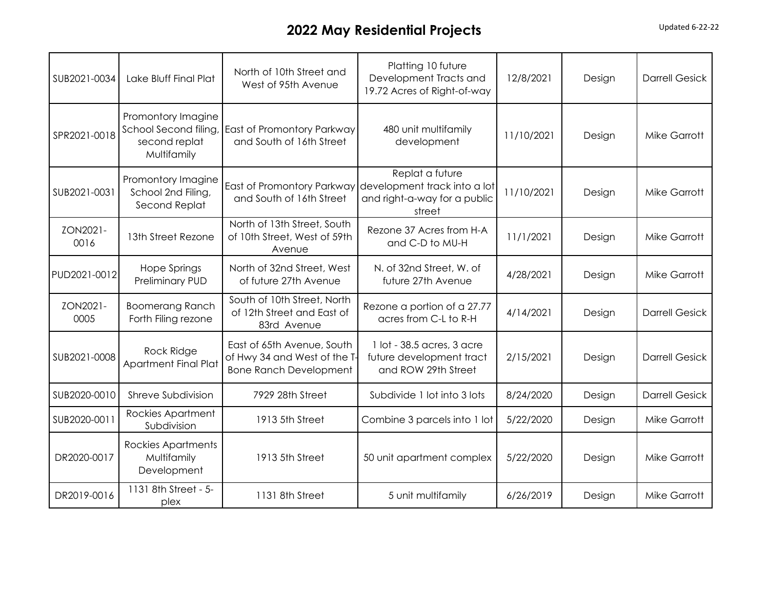## **2022 May Residential Projects Updated 6-22-22**

| SUB2021-0034     | Lake Bluff Final Plat                                                       | North of 10th Street and<br>West of 95th Avenue                                             | Platting 10 future<br>Development Tracts and<br>19.72 Acres of Right-of-way               | 12/8/2021  | Design | <b>Darrell Gesick</b> |
|------------------|-----------------------------------------------------------------------------|---------------------------------------------------------------------------------------------|-------------------------------------------------------------------------------------------|------------|--------|-----------------------|
| SPR2021-0018     | Promontory Imagine<br>School Second filing,<br>second replat<br>Multifamily | East of Promontory Parkway<br>and South of 16th Street                                      | 480 unit multifamily<br>development                                                       | 11/10/2021 | Design | <b>Mike Garrott</b>   |
| SUB2021-0031     | Promontory Imagine<br>School 2nd Filing,<br>Second Replat                   | East of Promontory Parkway<br>and South of 16th Street                                      | Replat a future<br>development track into a lot<br>and right-a-way for a public<br>street | 11/10/2021 | Design | <b>Mike Garrott</b>   |
| ZON2021-<br>0016 | 13th Street Rezone                                                          | North of 13th Street, South<br>of 10th Street, West of 59th<br>Avenue                       | Rezone 37 Acres from H-A<br>and C-D to MU-H                                               | 11/1/2021  | Design | <b>Mike Garrott</b>   |
| PUD2021-0012     | Hope Springs<br>Preliminary PUD                                             | North of 32nd Street, West<br>of future 27th Avenue                                         | N. of 32nd Street, W. of<br>future 27th Avenue                                            | 4/28/2021  | Design | <b>Mike Garrott</b>   |
| ZON2021-<br>0005 | <b>Boomerang Ranch</b><br>Forth Filing rezone                               | South of 10th Street, North<br>of 12th Street and East of<br>83rd Avenue                    | Rezone a portion of a 27.77<br>acres from C-L to R-H                                      | 4/14/2021  | Design | <b>Darrell Gesick</b> |
| SUB2021-0008     | <b>Rock Ridge</b><br><b>Apartment Final Plat</b>                            | East of 65th Avenue, South<br>of Hwy 34 and West of the T-<br><b>Bone Ranch Development</b> | 1 lot - 38.5 acres, 3 acre<br>future development tract<br>and ROW 29th Street             | 2/15/2021  | Design | <b>Darrell Gesick</b> |
| SUB2020-0010     | Shreve Subdivision                                                          | 7929 28th Street                                                                            | Subdivide 1 lot into 3 lots                                                               | 8/24/2020  | Design | <b>Darrell Gesick</b> |
| SUB2020-0011     | Rockies Apartment<br>Subdivision                                            | 1913 5th Street                                                                             | Combine 3 parcels into 1 lot                                                              | 5/22/2020  | Design | <b>Mike Garrott</b>   |
| DR2020-0017      | <b>Rockies Apartments</b><br>Multifamily<br>Development                     | 1913 5th Street                                                                             | 50 unit apartment complex                                                                 | 5/22/2020  | Design | <b>Mike Garrott</b>   |
| DR2019-0016      | 1131 8th Street - 5-<br>plex                                                | 1131 8th Street                                                                             | 5 unit multifamily                                                                        | 6/26/2019  | Design | <b>Mike Garrott</b>   |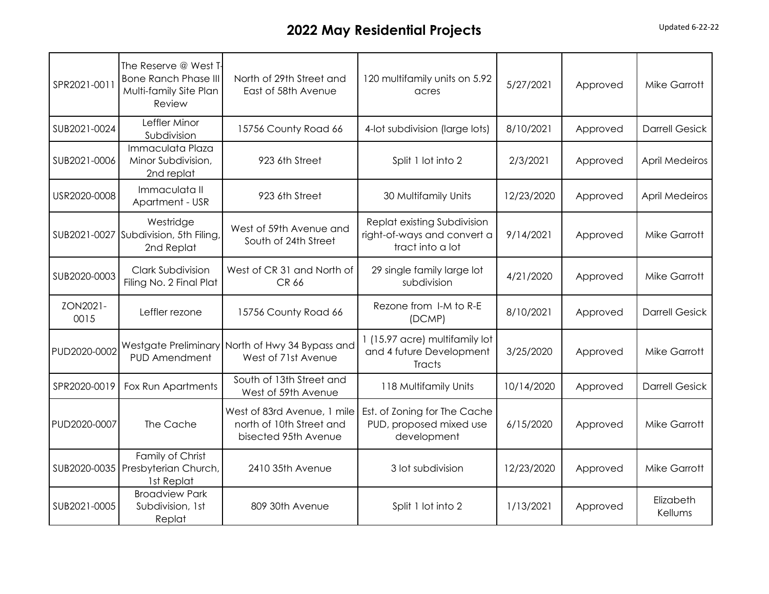## **2022 May Residential Projects Updated 6-22-22**

| SPR2021-0011     | The Reserve @ West T-<br><b>Bone Ranch Phase III</b><br>Multi-family Site Plan<br>Review | North of 29th Street and<br>East of 58th Avenue                                 | 120 multifamily units on 5.92<br>acres                                         | 5/27/2021  | Approved | <b>Mike Garrott</b>   |
|------------------|------------------------------------------------------------------------------------------|---------------------------------------------------------------------------------|--------------------------------------------------------------------------------|------------|----------|-----------------------|
| SUB2021-0024     | Leffler Minor<br>Subdivision                                                             | 15756 County Road 66                                                            | 4-lot subdivision (large lots)                                                 | 8/10/2021  | Approved | <b>Darrell Gesick</b> |
| SUB2021-0006     | Immaculata Plaza<br>Minor Subdivision,<br>2nd replat                                     | 923 6th Street                                                                  | Split 1 lot into 2                                                             | 2/3/2021   | Approved | <b>April Medeiros</b> |
| USR2020-0008     | Immaculata II<br>Apartment - USR                                                         | 923 6th Street                                                                  | 30 Multifamily Units                                                           | 12/23/2020 | Approved | <b>April Medeiros</b> |
|                  | Westridge<br>SUB2021-0027 Subdivision, 5th Filing<br>2nd Replat                          | West of 59th Avenue and<br>South of 24th Street                                 | Replat existing Subdivision<br>right-of-ways and convert a<br>tract into a lot | 9/14/2021  | Approved | <b>Mike Garrott</b>   |
| SUB2020-0003     | <b>Clark Subdivision</b><br>Filing No. 2 Final Plat                                      | West of CR 31 and North of<br><b>CR 66</b>                                      | 29 single family large lot<br>subdivision                                      | 4/21/2020  | Approved | <b>Mike Garrott</b>   |
| ZON2021-<br>0015 | Leffler rezone                                                                           | 15756 County Road 66                                                            | Rezone from I-M to R-E<br>(DCMP)                                               | 8/10/2021  | Approved | <b>Darrell Gesick</b> |
| PUD2020-0002     | <b>PUD Amendment</b>                                                                     | Westgate Preliminary North of Hwy 34 Bypass and<br>West of 71st Avenue          | 1 (15.97 acre) multifamily lot<br>and 4 future Development<br>Tracts           | 3/25/2020  | Approved | <b>Mike Garrott</b>   |
| SPR2020-0019     | Fox Run Apartments                                                                       | South of 13th Street and<br>West of 59th Avenue                                 | 118 Multifamily Units                                                          | 10/14/2020 | Approved | <b>Darrell Gesick</b> |
| PUD2020-0007     | The Cache                                                                                | West of 83rd Avenue, 1 mile<br>north of 10th Street and<br>bisected 95th Avenue | Est. of Zoning for The Cache<br>PUD, proposed mixed use<br>development         | 6/15/2020  | Approved | <b>Mike Garrott</b>   |
| SUB2020-0035     | Family of Christ<br>Presbyterian Church,<br>1st Replat                                   | 2410 35th Avenue                                                                | 3 lot subdivision                                                              | 12/23/2020 | Approved | <b>Mike Garrott</b>   |
| SUB2021-0005     | <b>Broadview Park</b><br>Subdivision, 1st<br>Replat                                      | 809 30th Avenue                                                                 | Split 1 lot into 2                                                             | 1/13/2021  | Approved | Elizabeth<br>Kellums  |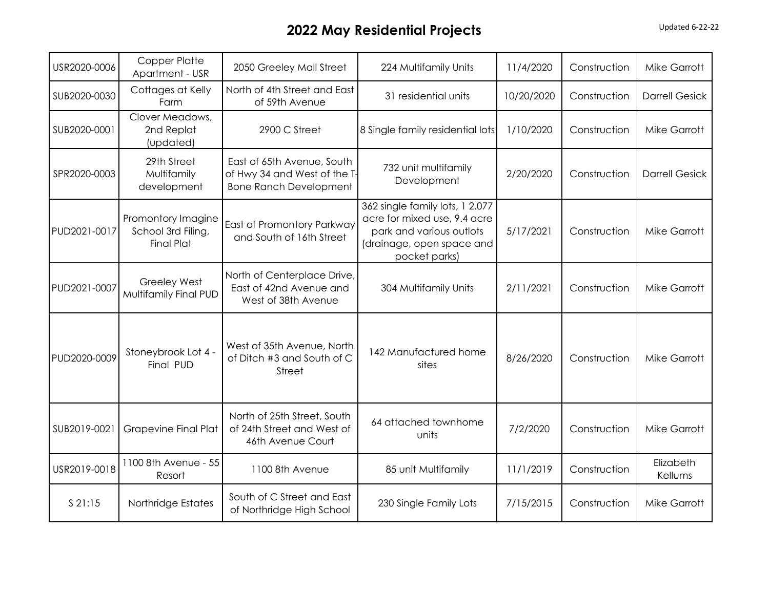## **2022 May Residential Projects Updated 6-22-22**

| USR2020-0006 | <b>Copper Platte</b><br>Apartment - USR                       | 2050 Greeley Mall Street                                                                    | 224 Multifamily Units                                                                                                                     | 11/4/2020  | Construction | <b>Mike Garrott</b>   |
|--------------|---------------------------------------------------------------|---------------------------------------------------------------------------------------------|-------------------------------------------------------------------------------------------------------------------------------------------|------------|--------------|-----------------------|
| SUB2020-0030 | Cottages at Kelly<br>Farm                                     | North of 4th Street and East<br>of 59th Avenue                                              | 31 residential units                                                                                                                      | 10/20/2020 | Construction | <b>Darrell Gesick</b> |
| SUB2020-0001 | Clover Meadows,<br>2nd Replat<br>(updated)                    | 2900 C Street                                                                               | 8 Single family residential lots                                                                                                          | 1/10/2020  | Construction | <b>Mike Garrott</b>   |
| SPR2020-0003 | 29th Street<br>Multifamily<br>development                     | East of 65th Avenue, South<br>of Hwy 34 and West of the T-<br><b>Bone Ranch Development</b> | 732 unit multifamily<br>Development                                                                                                       | 2/20/2020  | Construction | <b>Darrell Gesick</b> |
| PUD2021-0017 | Promontory Imagine<br>School 3rd Filing,<br><b>Final Plat</b> | East of Promontory Parkway<br>and South of 16th Street                                      | 362 single family lots, 1 2.077<br>acre for mixed use, 9.4 acre<br>park and various outlots<br>(drainage, open space and<br>pocket parks) | 5/17/2021  | Construction | <b>Mike Garrott</b>   |
| PUD2021-0007 | <b>Greeley West</b><br>Multifamily Final PUD                  | North of Centerplace Drive,<br>East of 42nd Avenue and<br>West of 38th Avenue               | 304 Multifamily Units                                                                                                                     | 2/11/2021  | Construction | <b>Mike Garrott</b>   |
| PUD2020-0009 | Stoneybrook Lot 4 -<br>Final PUD                              | West of 35th Avenue, North<br>of Ditch #3 and South of C<br>Street                          | 142 Manufactured home<br>sites                                                                                                            | 8/26/2020  | Construction | <b>Mike Garrott</b>   |
| SUB2019-0021 | <b>Grapevine Final Plat</b>                                   | North of 25th Street, South<br>of 24th Street and West of<br>46th Avenue Court              | 64 attached townhome<br>units                                                                                                             | 7/2/2020   | Construction | <b>Mike Garrott</b>   |
| USR2019-0018 | 1100 8th Avenue - 55<br>Resort                                | 1100 8th Avenue                                                                             | 85 unit Multifamily                                                                                                                       | 11/1/2019  | Construction | Elizabeth<br>Kellums  |
| \$21:15      | Northridge Estates                                            | South of C Street and East<br>of Northridge High School                                     | 230 Single Family Lots                                                                                                                    | 7/15/2015  | Construction | <b>Mike Garrott</b>   |